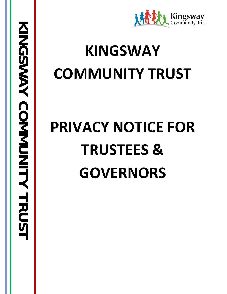

# **KINGSWAY COMMUNITY TRUST**

# **PRIVACY NOTICE FOR TRUSTEES & GOVERNORS**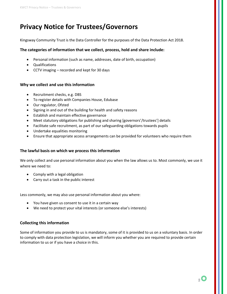## **Privacy Notice for Trustees/Governors**

Kingsway Community Trust is the Data Controller for the purposes of the Data Protection Act 2018.

#### **The categories of information that we collect, process, hold and share include:**

- Personal information (such as name, addresses, date of birth, occupation)
- Qualifications
- CCTV imaging recorded and kept for 30 days

#### **Why we collect and use this information**

- Recruitment checks, e.g. DBS
- To register details with Companies House, Edubase
- Our regulator, Ofsted
- Signing in and out of the building for health and safety reasons
- Establish and maintain effective governance
- Meet statutory obligations for publishing and sharing [governors'/trustees'] details
- Facilitate safe recruitment, as part of our safeguarding obligations towards pupils
- Undertake equalities monitoring
- Ensure that appropriate access arrangements can be provided for volunteers who require them

#### **The lawful basis on which we process this information**

We only collect and use personal information about you when the law allows us to. Most commonly, we use it where we need to:

- Comply with a legal obligation
- Carry out a task in the public interest

Less commonly, we may also use personal information about you where:

- You have given us consent to use it in a certain way
- We need to protect your vital interests (or someone else's interests)

#### **Collecting this information**

Some of information you provide to us is mandatory, some of it is provided to us on a voluntary basis. In order to comply with data protection legislation, we will inform you whether you are required to provide certain information to us or if you have a choice in this.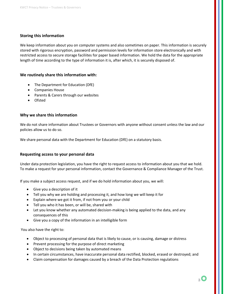#### **Storing this information**

We keep information about you on computer systems and also sometimes on paper. This information is securely stored with rigorous encryption, password and permission levels for information store electronically and with restricted access to secure storage faciliites for paper based information. We hold the data for the appropriate length of time according to the type of information it is, after which, it is securely disposed of.

#### **We routinely share this information with:**

- The Department for Education (DfE)
- Companies House
- Parents & Carers through our websites
- Ofsted

#### **Why we share this information**

We do not share information about Trustees or Governors with anyone without consent unless the law and our policies allow us to do so.

We share personal data with the Department for Education (DfE) on a statutory basis.

#### **Requesting access to your personal data**

Under data protection legislation, you have the right to request access to information about you that we hold. To make a request for your personal information, contact the Governance & Compliance Manager of the Trust.

If you make a subject access request, and if we do hold information about you, we will:

- Give you a description of it
- Tell you why we are holding and processing it, and how long we will keep it for
- Explain where we got it from, if not from you or your child
- Tell you who it has been, or will be, shared with
- Let you know whether any automated decision-making is being applied to the data, and any consequences of this
- Give you a copy of the information in an intelligible form

You also have the right to:

- Object to processing of personal data that is likely to cause, or is causing, damage or distress
- Prevent processing for the purpose of direct marketing
- Object to decisions being taken by automated means
- In certain circumstances, have inaccurate personal data rectified, blocked, erased or destroyed; and
- Claim compensation for damages caused by a breach of the Data Protection regulations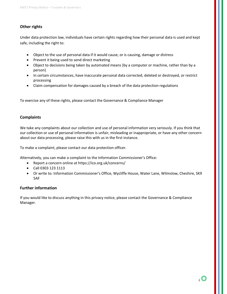#### **Other rights**

Under data protection law, individuals have certain rights regarding how their personal data is used and kept safe, including the right to:

- Object to the use of personal data if it would cause, or is causing, damage or distress
- Prevent it being used to send direct marketing
- Object to decisions being taken by automated means (by a computer or machine, rather than by a person)
- In certain circumstances, have inaccurate personal data corrected, deleted or destroyed, or restrict processing
- Claim compensation for damages caused by a breach of the data protection regulations

To exercise any of these rights, please contact the Governance & Compliance Manager

#### **Complaints**

We take any complaints about our collection and use of personal information very seriously. If you think that our collection or use of personal information is unfair, misleading or inappropriate, or have any other concern about our data processing, please raise this with us in the first instance.

To make a complaint, please contact our data protection officer.

Alternatively, you can make a complaint to the Information Commissioner's Office:

- Report a concern online at<https://ico.org.uk/concerns/>
- Call 0303 123 1113
- Or write to: Information Commissioner's Office, Wycliffe House, Water Lane, Wilmslow, Cheshire, SK9 5AF

#### **Further information**

If you would like to discuss anything in this privacy notice, please contact the Governance & Compliance Manager.